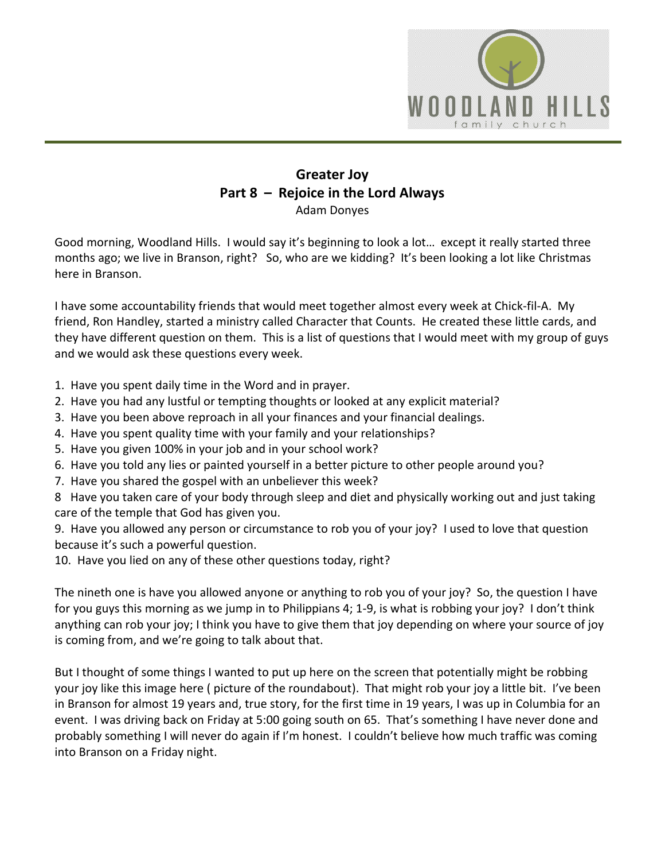

## **Greater Joy Part 8 – Rejoice in the Lord Always** Adam Donyes

Good morning, Woodland Hills. I would say it's beginning to look a lot… except it really started three months ago; we live in Branson, right? So, who are we kidding? It's been looking a lot like Christmas here in Branson.

I have some accountability friends that would meet together almost every week at Chick-fil-A. My friend, Ron Handley, started a ministry called Character that Counts. He created these little cards, and they have different question on them. This is a list of questions that I would meet with my group of guys and we would ask these questions every week.

- 1. Have you spent daily time in the Word and in prayer.
- 2. Have you had any lustful or tempting thoughts or looked at any explicit material?
- 3. Have you been above reproach in all your finances and your financial dealings.
- 4. Have you spent quality time with your family and your relationships?
- 5. Have you given 100% in your job and in your school work?
- 6. Have you told any lies or painted yourself in a better picture to other people around you?
- 7. Have you shared the gospel with an unbeliever this week?

8 Have you taken care of your body through sleep and diet and physically working out and just taking care of the temple that God has given you.

9. Have you allowed any person or circumstance to rob you of your joy? I used to love that question because it's such a powerful question.

10. Have you lied on any of these other questions today, right?

The nineth one is have you allowed anyone or anything to rob you of your joy? So, the question I have for you guys this morning as we jump in to Philippians 4; 1-9, is what is robbing your joy? I don't think anything can rob your joy; I think you have to give them that joy depending on where your source of joy is coming from, and we're going to talk about that.

But I thought of some things I wanted to put up here on the screen that potentially might be robbing your joy like this image here ( picture of the roundabout). That might rob your joy a little bit. I've been in Branson for almost 19 years and, true story, for the first time in 19 years, I was up in Columbia for an event. I was driving back on Friday at 5:00 going south on 65. That's something I have never done and probably something I will never do again if I'm honest. I couldn't believe how much traffic was coming into Branson on a Friday night.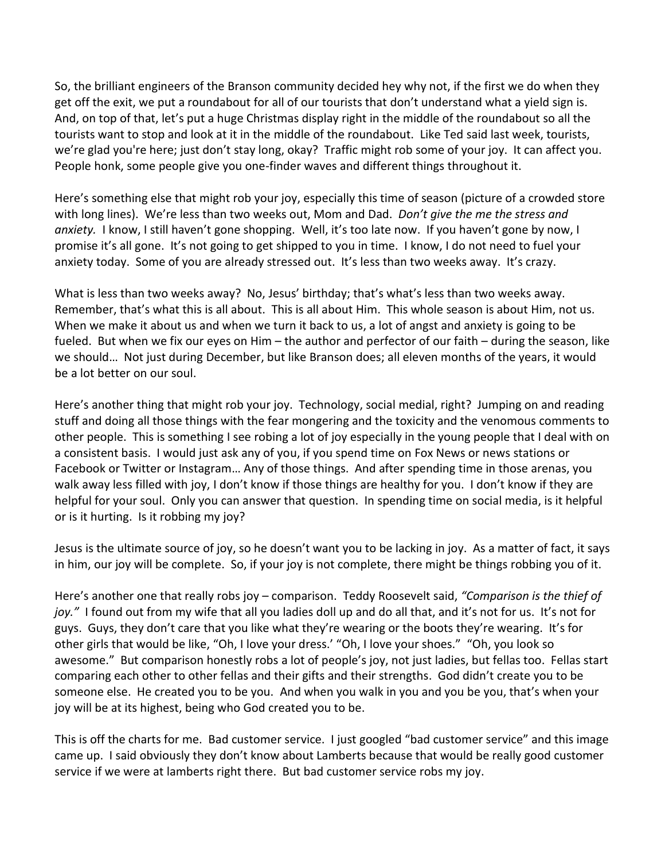So, the brilliant engineers of the Branson community decided hey why not, if the first we do when they get off the exit, we put a roundabout for all of our tourists that don't understand what a yield sign is. And, on top of that, let's put a huge Christmas display right in the middle of the roundabout so all the tourists want to stop and look at it in the middle of the roundabout. Like Ted said last week, tourists, we're glad you're here; just don't stay long, okay? Traffic might rob some of your joy. It can affect you. People honk, some people give you one-finder waves and different things throughout it.

Here's something else that might rob your joy, especially this time of season (picture of a crowded store with long lines). We're less than two weeks out, Mom and Dad. *Don't give the me the stress and anxiety.* I know, I still haven't gone shopping. Well, it's too late now. If you haven't gone by now, I promise it's all gone. It's not going to get shipped to you in time. I know, I do not need to fuel your anxiety today. Some of you are already stressed out. It's less than two weeks away. It's crazy.

What is less than two weeks away? No, Jesus' birthday; that's what's less than two weeks away. Remember, that's what this is all about. This is all about Him. This whole season is about Him, not us. When we make it about us and when we turn it back to us, a lot of angst and anxiety is going to be fueled. But when we fix our eyes on Him – the author and perfector of our faith – during the season, like we should… Not just during December, but like Branson does; all eleven months of the years, it would be a lot better on our soul.

Here's another thing that might rob your joy. Technology, social medial, right? Jumping on and reading stuff and doing all those things with the fear mongering and the toxicity and the venomous comments to other people. This is something I see robing a lot of joy especially in the young people that I deal with on a consistent basis. I would just ask any of you, if you spend time on Fox News or news stations or Facebook or Twitter or Instagram… Any of those things. And after spending time in those arenas, you walk away less filled with joy, I don't know if those things are healthy for you. I don't know if they are helpful for your soul. Only you can answer that question. In spending time on social media, is it helpful or is it hurting. Is it robbing my joy?

Jesus is the ultimate source of joy, so he doesn't want you to be lacking in joy. As a matter of fact, it says in him, our joy will be complete. So, if your joy is not complete, there might be things robbing you of it.

Here's another one that really robs joy – comparison. Teddy Roosevelt said, *"Comparison is the thief of joy."* I found out from my wife that all you ladies doll up and do all that, and it's not for us. It's not for guys. Guys, they don't care that you like what they're wearing or the boots they're wearing. It's for other girls that would be like, "Oh, I love your dress.' "Oh, I love your shoes." "Oh, you look so awesome." But comparison honestly robs a lot of people's joy, not just ladies, but fellas too. Fellas start comparing each other to other fellas and their gifts and their strengths. God didn't create you to be someone else. He created you to be you. And when you walk in you and you be you, that's when your joy will be at its highest, being who God created you to be.

This is off the charts for me. Bad customer service. I just googled "bad customer service" and this image came up. I said obviously they don't know about Lamberts because that would be really good customer service if we were at lamberts right there. But bad customer service robs my joy.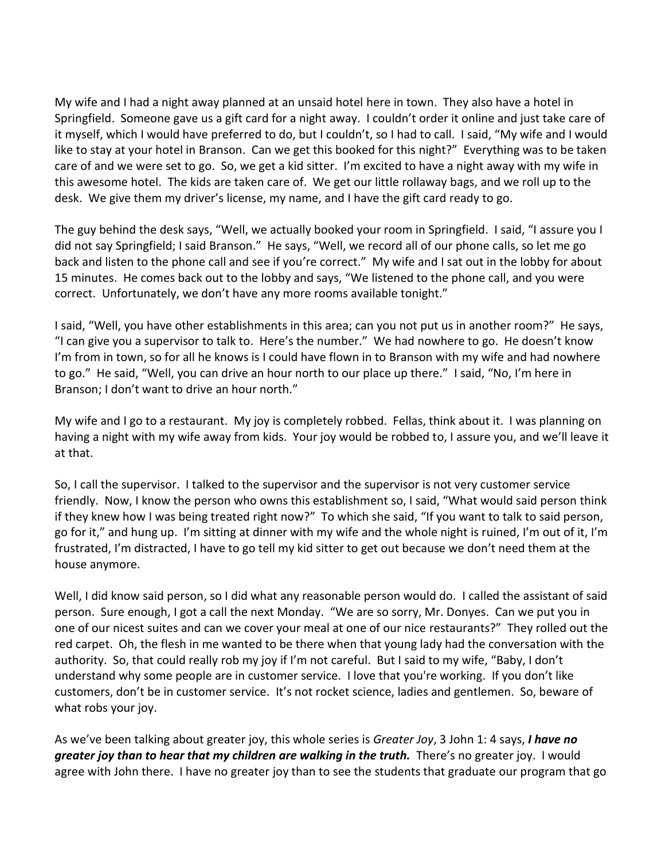My wife and I had a night away planned at an unsaid hotel here in town. They also have a hotel in Springfield. Someone gave us a gift card for a night away. I couldn't order it online and just take care of it myself, which I would have preferred to do, but I couldn't, so I had to call. I said, "My wife and I would like to stay at your hotel in Branson. Can we get this booked for this night?" Everything was to be taken care of and we were set to go. So, we get a kid sitter. I'm excited to have a night away with my wife in this awesome hotel. The kids are taken care of. We get our little rollaway bags, and we roll up to the desk. We give them my driver's license, my name, and I have the gift card ready to go.

The guy behind the desk says, "Well, we actually booked your room in Springfield. I said, "I assure you I did not say Springfield; I said Branson." He says, "Well, we record all of our phone calls, so let me go back and listen to the phone call and see if you're correct." My wife and I sat out in the lobby for about 15 minutes. He comes back out to the lobby and says, "We listened to the phone call, and you were correct. Unfortunately, we don't have any more rooms available tonight."

I said, "Well, you have other establishments in this area; can you not put us in another room?" He says, "I can give you a supervisor to talk to. Here's the number." We had nowhere to go. He doesn't know I'm from in town, so for all he knows is I could have flown in to Branson with my wife and had nowhere to go." He said, "Well, you can drive an hour north to our place up there." I said, "No, I'm here in Branson; I don't want to drive an hour north."

My wife and I go to a restaurant. My joy is completely robbed. Fellas, think about it. I was planning on having a night with my wife away from kids. Your joy would be robbed to, I assure you, and we'll leave it at that.

So, I call the supervisor. I talked to the supervisor and the supervisor is not very customer service friendly. Now, I know the person who owns this establishment so, I said, "What would said person think if they knew how I was being treated right now?" To which she said, "If you want to talk to said person, go for it," and hung up. I'm sitting at dinner with my wife and the whole night is ruined, I'm out of it, I'm frustrated, I'm distracted, I have to go tell my kid sitter to get out because we don't need them at the house anymore.

Well, I did know said person, so I did what any reasonable person would do. I called the assistant of said person. Sure enough, I got a call the next Monday. "We are so sorry, Mr. Donyes. Can we put you in one of our nicest suites and can we cover your meal at one of our nice restaurants?" They rolled out the red carpet. Oh, the flesh in me wanted to be there when that young lady had the conversation with the authority. So, that could really rob my joy if I'm not careful. But I said to my wife, "Baby, I don't understand why some people are in customer service. I love that you're working. If you don't like customers, don't be in customer service. It's not rocket science, ladies and gentlemen. So, beware of what robs your joy.

As we've been talking about greater joy, this whole series is *Greater Joy*, 3 John 1: 4 says, *I have no greater joy than to hear that my children are walking in the truth.* There's no greater joy. I would agree with John there. I have no greater joy than to see the students that graduate our program that go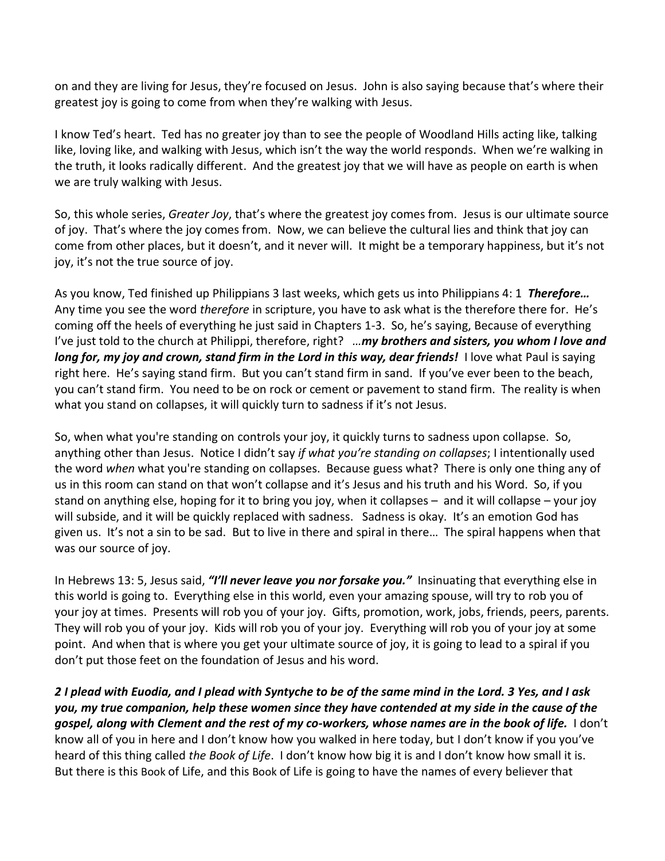on and they are living for Jesus, they're focused on Jesus. John is also saying because that's where their greatest joy is going to come from when they're walking with Jesus.

I know Ted's heart. Ted has no greater joy than to see the people of Woodland Hills acting like, talking like, loving like, and walking with Jesus, which isn't the way the world responds. When we're walking in the truth, it looks radically different. And the greatest joy that we will have as people on earth is when we are truly walking with Jesus.

So, this whole series, *Greater Joy*, that's where the greatest joy comes from. Jesus is our ultimate source of joy. That's where the joy comes from. Now, we can believe the cultural lies and think that joy can come from other places, but it doesn't, and it never will. It might be a temporary happiness, but it's not joy, it's not the true source of joy.

As you know, Ted finished up Philippians 3 last weeks, which gets us into Philippians 4: 1 *Therefore…* Any time you see the word *therefore* in scripture, you have to ask what is the therefore there for. He's coming off the heels of everything he just said in Chapters 1-3. So, he's saying, Because of everything I've just told to the church at Philippi, therefore, right? *…my brothers and sisters, you whom I love and long for, my joy and crown, stand firm in the Lord in this way, dear friends!* I love what Paul is saying right here. He's saying stand firm. But you can't stand firm in sand. If you've ever been to the beach, you can't stand firm. You need to be on rock or cement or pavement to stand firm. The reality is when what you stand on collapses, it will quickly turn to sadness if it's not Jesus.

So, when what you're standing on controls your joy, it quickly turns to sadness upon collapse. So, anything other than Jesus. Notice I didn't say *if what you're standing on collapses*; I intentionally used the word *when* what you're standing on collapses. Because guess what? There is only one thing any of us in this room can stand on that won't collapse and it's Jesus and his truth and his Word. So, if you stand on anything else, hoping for it to bring you joy, when it collapses – and it will collapse – your joy will subside, and it will be quickly replaced with sadness. Sadness is okay. It's an emotion God has given us. It's not a sin to be sad. But to live in there and spiral in there… The spiral happens when that was our source of joy.

In Hebrews 13: 5, Jesus said, *"I'll never leave you nor forsake you."* Insinuating that everything else in this world is going to. Everything else in this world, even your amazing spouse, will try to rob you of your joy at times. Presents will rob you of your joy. Gifts, promotion, work, jobs, friends, peers, parents. They will rob you of your joy. Kids will rob you of your joy. Everything will rob you of your joy at some point. And when that is where you get your ultimate source of joy, it is going to lead to a spiral if you don't put those feet on the foundation of Jesus and his word.

*2 I plead with Euodia, and I plead with Syntyche to be of the same mind in the Lord. 3 Yes, and I ask you, my true companion, help these women since they have contended at my side in the cause of the gospel, along with Clement and the rest of my co-workers, whose names are in the book of life.* I don't know all of you in here and I don't know how you walked in here today, but I don't know if you you've heard of this thing called *the Book of Life*. I don't know how big it is and I don't know how small it is. But there is this Book of Life, and this Book of Life is going to have the names of every believer that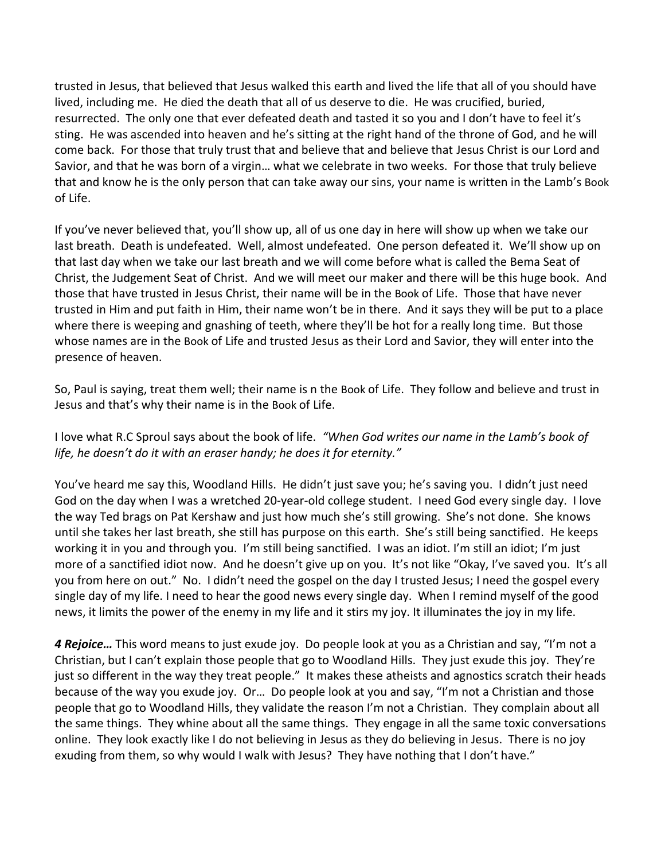trusted in Jesus, that believed that Jesus walked this earth and lived the life that all of you should have lived, including me. He died the death that all of us deserve to die. He was crucified, buried, resurrected. The only one that ever defeated death and tasted it so you and I don't have to feel it's sting. He was ascended into heaven and he's sitting at the right hand of the throne of God, and he will come back. For those that truly trust that and believe that and believe that Jesus Christ is our Lord and Savior, and that he was born of a virgin… what we celebrate in two weeks. For those that truly believe that and know he is the only person that can take away our sins, your name is written in the Lamb's Book of Life.

If you've never believed that, you'll show up, all of us one day in here will show up when we take our last breath. Death is undefeated. Well, almost undefeated. One person defeated it. We'll show up on that last day when we take our last breath and we will come before what is called the Bema Seat of Christ, the Judgement Seat of Christ. And we will meet our maker and there will be this huge book. And those that have trusted in Jesus Christ, their name will be in the Book of Life. Those that have never trusted in Him and put faith in Him, their name won't be in there. And it says they will be put to a place where there is weeping and gnashing of teeth, where they'll be hot for a really long time. But those whose names are in the Book of Life and trusted Jesus as their Lord and Savior, they will enter into the presence of heaven.

So, Paul is saying, treat them well; their name is n the Book of Life. They follow and believe and trust in Jesus and that's why their name is in the Book of Life.

I love what R.C Sproul says about the book of life. *"When God writes our name in the Lamb's book of life, he doesn't do it with an eraser handy; he does it for eternity."*

You've heard me say this, Woodland Hills. He didn't just save you; he's saving you. I didn't just need God on the day when I was a wretched 20-year-old college student. I need God every single day. I love the way Ted brags on Pat Kershaw and just how much she's still growing. She's not done. She knows until she takes her last breath, she still has purpose on this earth. She's still being sanctified. He keeps working it in you and through you. I'm still being sanctified. I was an idiot. I'm still an idiot; I'm just more of a sanctified idiot now. And he doesn't give up on you. It's not like "Okay, I've saved you. It's all you from here on out." No. I didn't need the gospel on the day I trusted Jesus; I need the gospel every single day of my life. I need to hear the good news every single day. When I remind myself of the good news, it limits the power of the enemy in my life and it stirs my joy. It illuminates the joy in my life.

*4 Rejoice…* This word means to just exude joy. Do people look at you as a Christian and say, "I'm not a Christian, but I can't explain those people that go to Woodland Hills. They just exude this joy. They're just so different in the way they treat people." It makes these atheists and agnostics scratch their heads because of the way you exude joy. Or… Do people look at you and say, "I'm not a Christian and those people that go to Woodland Hills, they validate the reason I'm not a Christian. They complain about all the same things. They whine about all the same things. They engage in all the same toxic conversations online. They look exactly like I do not believing in Jesus as they do believing in Jesus. There is no joy exuding from them, so why would I walk with Jesus? They have nothing that I don't have."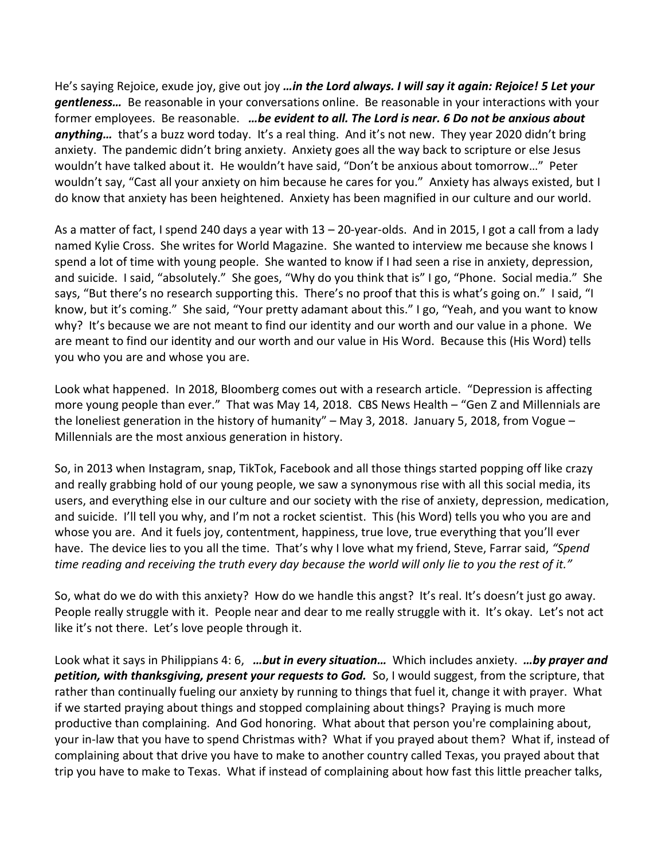He's saying Rejoice, exude joy, give out joy *…in the Lord always. I will say it again: Rejoice! 5 Let your gentleness…* Be reasonable in your conversations online. Be reasonable in your interactions with your former employees. Be reasonable. *…be evident to all. The Lord is near. 6 Do not be anxious about anything…* that's a buzz word today. It's a real thing. And it's not new. They year 2020 didn't bring anxiety. The pandemic didn't bring anxiety. Anxiety goes all the way back to scripture or else Jesus wouldn't have talked about it. He wouldn't have said, "Don't be anxious about tomorrow…" Peter wouldn't say, "Cast all your anxiety on him because he cares for you." Anxiety has always existed, but I do know that anxiety has been heightened. Anxiety has been magnified in our culture and our world.

As a matter of fact, I spend 240 days a year with 13 – 20-year-olds. And in 2015, I got a call from a lady named Kylie Cross. She writes for World Magazine. She wanted to interview me because she knows I spend a lot of time with young people. She wanted to know if I had seen a rise in anxiety, depression, and suicide. I said, "absolutely." She goes, "Why do you think that is" I go, "Phone. Social media." She says, "But there's no research supporting this. There's no proof that this is what's going on." I said, "I know, but it's coming." She said, "Your pretty adamant about this." I go, "Yeah, and you want to know why? It's because we are not meant to find our identity and our worth and our value in a phone. We are meant to find our identity and our worth and our value in His Word. Because this (His Word) tells you who you are and whose you are.

Look what happened. In 2018, Bloomberg comes out with a research article. "Depression is affecting more young people than ever." That was May 14, 2018. CBS News Health – "Gen Z and Millennials are the loneliest generation in the history of humanity" – May 3, 2018. January 5, 2018, from Vogue – Millennials are the most anxious generation in history.

So, in 2013 when Instagram, snap, TikTok, Facebook and all those things started popping off like crazy and really grabbing hold of our young people, we saw a synonymous rise with all this social media, its users, and everything else in our culture and our society with the rise of anxiety, depression, medication, and suicide. I'll tell you why, and I'm not a rocket scientist. This (his Word) tells you who you are and whose you are. And it fuels joy, contentment, happiness, true love, true everything that you'll ever have. The device lies to you all the time. That's why I love what my friend, Steve, Farrar said, *"Spend time reading and receiving the truth every day because the world will only lie to you the rest of it."*

So, what do we do with this anxiety? How do we handle this angst? It's real. It's doesn't just go away. People really struggle with it. People near and dear to me really struggle with it. It's okay. Let's not act like it's not there. Let's love people through it.

Look what it says in Philippians 4: 6, *…but in every situation…* Which includes anxiety. *…by prayer and petition, with thanksgiving, present your requests to God.* So, I would suggest, from the scripture, that rather than continually fueling our anxiety by running to things that fuel it, change it with prayer. What if we started praying about things and stopped complaining about things? Praying is much more productive than complaining. And God honoring. What about that person you're complaining about, your in-law that you have to spend Christmas with? What if you prayed about them? What if, instead of complaining about that drive you have to make to another country called Texas, you prayed about that trip you have to make to Texas. What if instead of complaining about how fast this little preacher talks,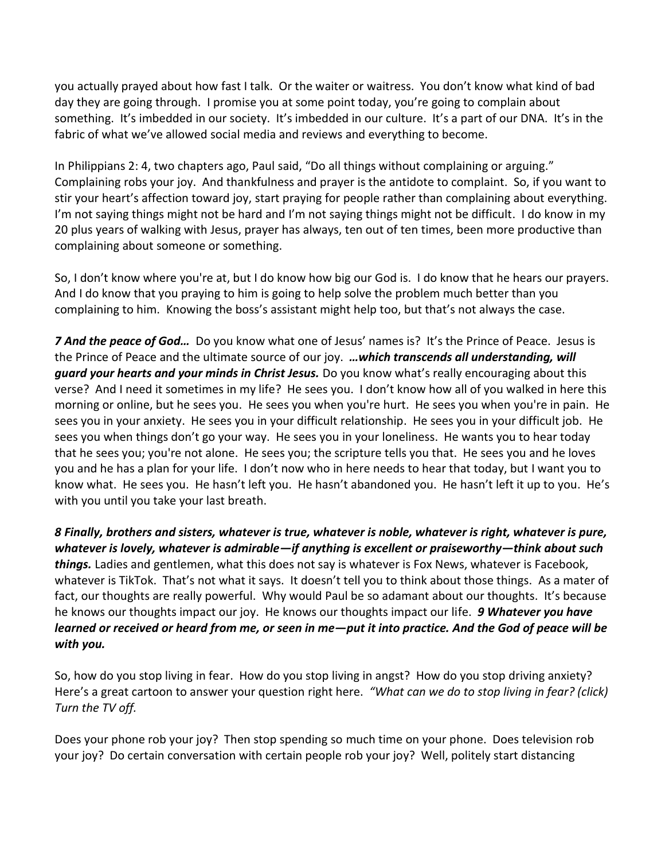you actually prayed about how fast I talk. Or the waiter or waitress. You don't know what kind of bad day they are going through. I promise you at some point today, you're going to complain about something. It's imbedded in our society. It's imbedded in our culture. It's a part of our DNA. It's in the fabric of what we've allowed social media and reviews and everything to become.

In Philippians 2: 4, two chapters ago, Paul said, "Do all things without complaining or arguing." Complaining robs your joy. And thankfulness and prayer is the antidote to complaint. So, if you want to stir your heart's affection toward joy, start praying for people rather than complaining about everything. I'm not saying things might not be hard and I'm not saying things might not be difficult. I do know in my 20 plus years of walking with Jesus, prayer has always, ten out of ten times, been more productive than complaining about someone or something.

So, I don't know where you're at, but I do know how big our God is. I do know that he hears our prayers. And I do know that you praying to him is going to help solve the problem much better than you complaining to him. Knowing the boss's assistant might help too, but that's not always the case.

*7 And the peace of God…* Do you know what one of Jesus' names is? It's the Prince of Peace. Jesus is the Prince of Peace and the ultimate source of our joy. *…which transcends all understanding, will guard your hearts and your minds in Christ Jesus.* Do you know what's really encouraging about this verse? And I need it sometimes in my life? He sees you. I don't know how all of you walked in here this morning or online, but he sees you. He sees you when you're hurt. He sees you when you're in pain. He sees you in your anxiety. He sees you in your difficult relationship. He sees you in your difficult job. He sees you when things don't go your way. He sees you in your loneliness. He wants you to hear today that he sees you; you're not alone. He sees you; the scripture tells you that. He sees you and he loves you and he has a plan for your life. I don't now who in here needs to hear that today, but I want you to know what. He sees you. He hasn't left you. He hasn't abandoned you. He hasn't left it up to you. He's with you until you take your last breath.

*8 Finally, brothers and sisters, whatever is true, whatever is noble, whatever is right, whatever is pure, whatever is lovely, whatever is admirable—if anything is excellent or praiseworthy—think about such things.* Ladies and gentlemen, what this does not say is whatever is Fox News, whatever is Facebook, whatever is TikTok. That's not what it says. It doesn't tell you to think about those things. As a mater of fact, our thoughts are really powerful. Why would Paul be so adamant about our thoughts. It's because he knows our thoughts impact our joy. He knows our thoughts impact our life. *9 Whatever you have learned or received or heard from me, or seen in me—put it into practice. And the God of peace will be with you.*

So, how do you stop living in fear. How do you stop living in angst? How do you stop driving anxiety? Here's a great cartoon to answer your question right here. *"What can we do to stop living in fear? (click) Turn the TV off.*

Does your phone rob your joy? Then stop spending so much time on your phone. Does television rob your joy? Do certain conversation with certain people rob your joy? Well, politely start distancing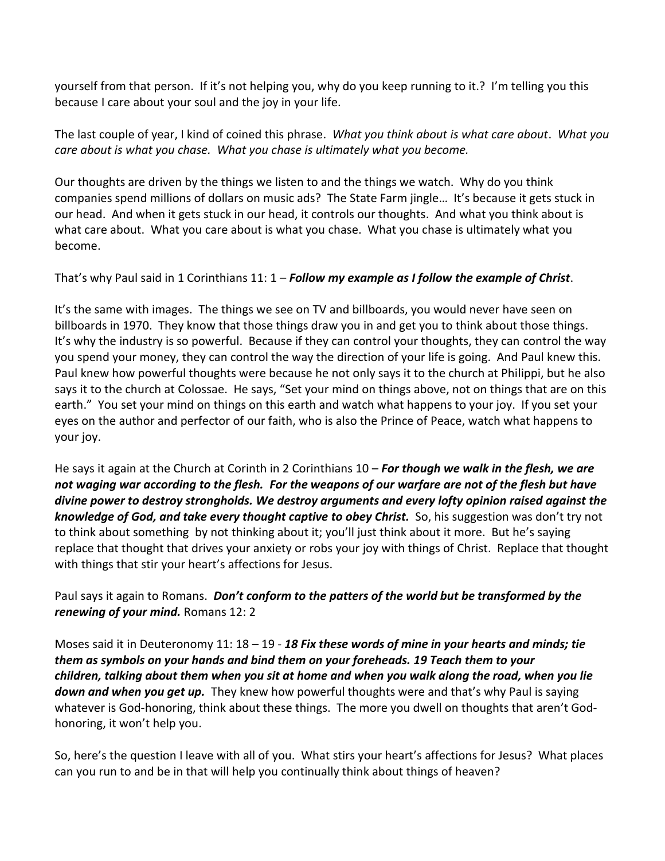yourself from that person. If it's not helping you, why do you keep running to it.? I'm telling you this because I care about your soul and the joy in your life.

The last couple of year, I kind of coined this phrase. *What you think about is what care about*. *What you care about is what you chase. What you chase is ultimately what you become.*

Our thoughts are driven by the things we listen to and the things we watch. Why do you think companies spend millions of dollars on music ads? The State Farm jingle… It's because it gets stuck in our head. And when it gets stuck in our head, it controls our thoughts. And what you think about is what care about. What you care about is what you chase. What you chase is ultimately what you become.

That's why Paul said in 1 Corinthians 11: 1 – *Follow my example as I follow the example of Christ*.

It's the same with images. The things we see on TV and billboards, you would never have seen on billboards in 1970. They know that those things draw you in and get you to think about those things. It's why the industry is so powerful. Because if they can control your thoughts, they can control the way you spend your money, they can control the way the direction of your life is going. And Paul knew this. Paul knew how powerful thoughts were because he not only says it to the church at Philippi, but he also says it to the church at Colossae. He says, "Set your mind on things above, not on things that are on this earth." You set your mind on things on this earth and watch what happens to your joy. If you set your eyes on the author and perfector of our faith, who is also the Prince of Peace, watch what happens to your joy.

He says it again at the Church at Corinth in 2 Corinthians 10 – *For though we walk in the flesh, we are not waging war according to the flesh. For the weapons of our warfare are not of the flesh but have divine power to destroy strongholds. We destroy arguments and every lofty opinion raised against the knowledge of God, and take every thought captive to obey Christ.* So, his suggestion was don't try not to think about something by not thinking about it; you'll just think about it more. But he's saying replace that thought that drives your anxiety or robs your joy with things of Christ. Replace that thought with things that stir your heart's affections for Jesus.

Paul says it again to Romans. *Don't conform to the patters of the world but be transformed by the renewing of your mind.* Romans 12: 2

Moses said it in Deuteronomy 11: 18 – 19 - *18 Fix these words of mine in your hearts and minds; tie them as symbols on your hands and bind them on your foreheads. 19 Teach them to your children, talking about them when you sit at home and when you walk along the road, when you lie down and when you get up.* They knew how powerful thoughts were and that's why Paul is saying whatever is God-honoring, think about these things. The more you dwell on thoughts that aren't Godhonoring, it won't help you.

So, here's the question I leave with all of you. What stirs your heart's affections for Jesus? What places can you run to and be in that will help you continually think about things of heaven?